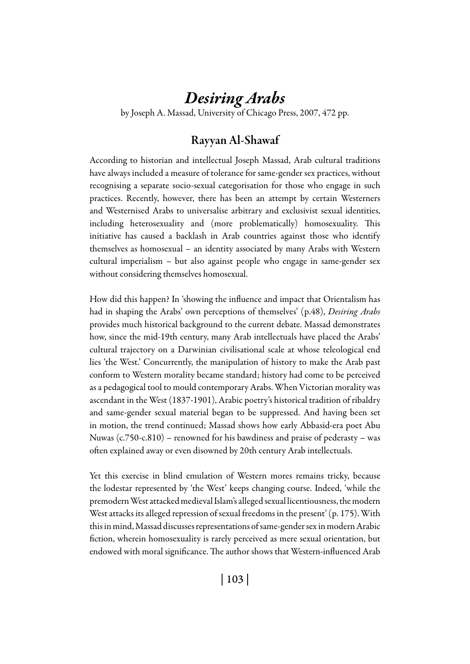# *Desiring Arabs*

by Joseph A. Massad, University of Chicago Press, 2007, 472 pp.

# Rayyan Al-Shawaf

According to historian and intellectual Joseph Massad, Arab cultural traditions have always included a measure of tolerance for same-gender sex practices, without recognising a separate socio-sexual categorisation for those who engage in such practices. Recently, however, there has been an attempt by certain Westerners and Westernised Arabs to universalise arbitrary and exclusivist sexual identities, including heterosexuality and (more problematically) homosexuality. This initiative has caused a backlash in Arab countries against those who identify themselves as homosexual – an identity associated by many Arabs with Western cultural imperialism – but also against people who engage in same-gender sex without considering themselves homosexual.

How did this happen? In 'showing the influence and impact that Orientalism has had in shaping the Arabs' own perceptions of themselves' (p.48), *Desiring Arabs* provides much historical background to the current debate. Massad demonstrates how, since the mid-19th century, many Arab intellectuals have placed the Arabs' cultural trajectory on a Darwinian civilisational scale at whose teleological end lies 'the West.' Concurrently, the manipulation of history to make the Arab past conform to Western morality became standard; history had come to be perceived as a pedagogical tool to mould contemporary Arabs. When Victorian morality was ascendant in the West (1837-1901), Arabic poetry's historical tradition of ribaldry and same-gender sexual material began to be suppressed. And having been set in motion, the trend continued; Massad shows how early Abbasid-era poet Abu Nuwas (c.750-c.810) – renowned for his bawdiness and praise of pederasty – was often explained away or even disowned by 20th century Arab intellectuals.

Yet this exercise in blind emulation of Western mores remains tricky, because the lodestar represented by 'the West' keeps changing course. Indeed, 'while the premodern West attacked medieval Islam's alleged sexual licentiousness, the modern West attacks its alleged repression of sexual freedoms in the present' (p. 175). With this in mind, Massad discusses representations of same-gender sex in modern Arabic fiction, wherein homosexuality is rarely perceived as mere sexual orientation, but endowed with moral significance. The author shows that Western-influenced Arab

| 103 |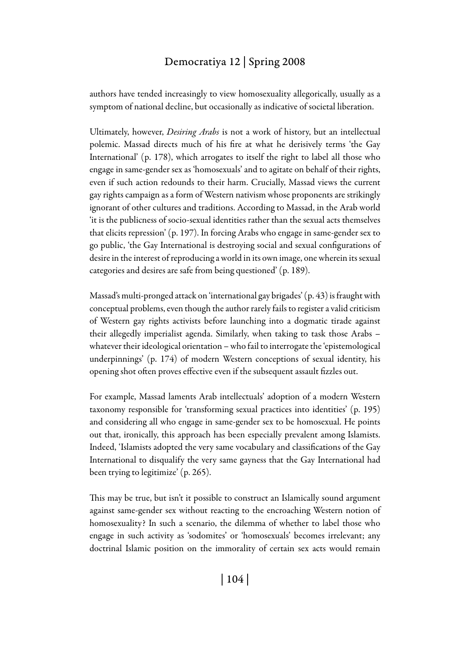#### Democratiya 12 | Spring 2008

authors have tended increasingly to view homosexuality allegorically, usually as a symptom of national decline, but occasionally as indicative of societal liberation.

Ultimately, however, *Desiring Arabs* is not a work of history, but an intellectual polemic. Massad directs much of his fire at what he derisively terms 'the Gay International' (p. 178), which arrogates to itself the right to label all those who engage in same-gender sex as 'homosexuals' and to agitate on behalf of their rights, even if such action redounds to their harm. Crucially, Massad views the current gay rights campaign as a form of Western nativism whose proponents are strikingly ignorant of other cultures and traditions. According to Massad, in the Arab world 'it is the publicness of socio-sexual identities rather than the sexual acts themselves that elicits repression' (p. 197). In forcing Arabs who engage in same-gender sex to go public, 'the Gay International is destroying social and sexual configurations of desire in the interest of reproducing a world in its own image, one wherein its sexual categories and desires are safe from being questioned' (p. 189).

Massad's multi-pronged attack on 'international gay brigades' (p. 43) is fraught with conceptual problems, even though the author rarely fails to register a valid criticism of Western gay rights activists before launching into a dogmatic tirade against their allegedly imperialist agenda. Similarly, when taking to task those Arabs – whatever their ideological orientation – who fail to interrogate the 'epistemological underpinnings' (p. 174) of modern Western conceptions of sexual identity, his opening shot often proves effective even if the subsequent assault fizzles out.

For example, Massad laments Arab intellectuals' adoption of a modern Western taxonomy responsible for 'transforming sexual practices into identities' (p. 195) and considering all who engage in same-gender sex to be homosexual. He points out that, ironically, this approach has been especially prevalent among Islamists. Indeed, 'Islamists adopted the very same vocabulary and classifications of the Gay International to disqualify the very same gayness that the Gay International had been trying to legitimize' (p. 265).

This may be true, but isn't it possible to construct an Islamically sound argument against same-gender sex without reacting to the encroaching Western notion of homosexuality? In such a scenario, the dilemma of whether to label those who engage in such activity as 'sodomites' or 'homosexuals' becomes irrelevant; any doctrinal Islamic position on the immorality of certain sex acts would remain

| 104 |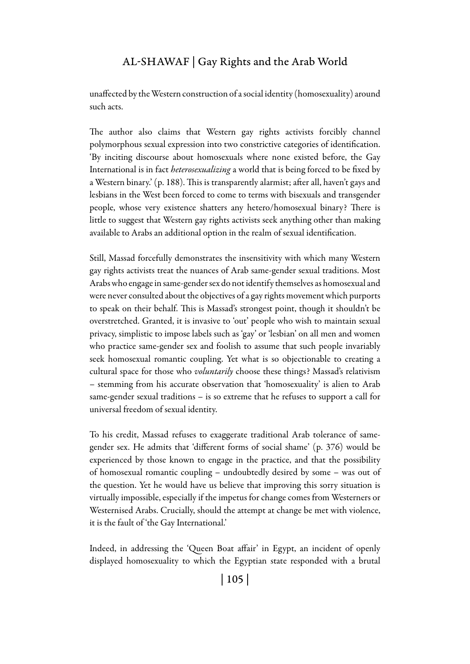## Al-Shawaf | Gay Rights and the Arab World

unaffected by the Western construction of a social identity (homosexuality) around such acts.

The author also claims that Western gay rights activists forcibly channel polymorphous sexual expression into two constrictive categories of identification. 'By inciting discourse about homosexuals where none existed before, the Gay International is in fact *heterosexualizing* a world that is being forced to be fixed by a Western binary.' (p. 188). This is transparently alarmist; after all, haven't gays and lesbians in the West been forced to come to terms with bisexuals and transgender people, whose very existence shatters any hetero/homosexual binary? There is little to suggest that Western gay rights activists seek anything other than making available to Arabs an additional option in the realm of sexual identification.

Still, Massad forcefully demonstrates the insensitivity with which many Western gay rights activists treat the nuances of Arab same-gender sexual traditions. Most Arabs who engage in same-gender sex do not identify themselves as homosexual and were never consulted about the objectives of a gay rights movement which purports to speak on their behalf. This is Massad's strongest point, though it shouldn't be overstretched. Granted, it is invasive to 'out' people who wish to maintain sexual privacy, simplistic to impose labels such as 'gay' or 'lesbian' on all men and women who practice same-gender sex and foolish to assume that such people invariably seek homosexual romantic coupling. Yet what is so objectionable to creating a cultural space for those who *voluntarily* choose these things? Massad's relativism – stemming from his accurate observation that 'homosexuality' is alien to Arab same-gender sexual traditions – is so extreme that he refuses to support a call for universal freedom of sexual identity.

To his credit, Massad refuses to exaggerate traditional Arab tolerance of samegender sex. He admits that 'different forms of social shame' (p. 376) would be experienced by those known to engage in the practice, and that the possibility of homosexual romantic coupling – undoubtedly desired by some – was out of the question. Yet he would have us believe that improving this sorry situation is virtually impossible, especially if the impetus for change comes from Westerners or Westernised Arabs. Crucially, should the attempt at change be met with violence, it is the fault of 'the Gay International.'

Indeed, in addressing the 'Queen Boat affair' in Egypt, an incident of openly displayed homosexuality to which the Egyptian state responded with a brutal